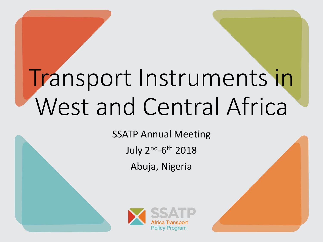# Transport Instruments in West and Central Africa

SSATP Annual Meeting

July 2<sup>nd</sup>-6<sup>th</sup> 2018

Abuja, Nigeria



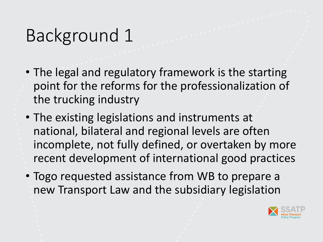### Background 1

- The legal and regulatory framework is the starting point for the reforms for the professionalization of the trucking industry
- The existing legislations and instruments at national, bilateral and regional levels are often incomplete, not fully defined, or overtaken by more recent development of international good practices
- Togo requested assistance from WB to prepare a new Transport Law and the subsidiary legislation

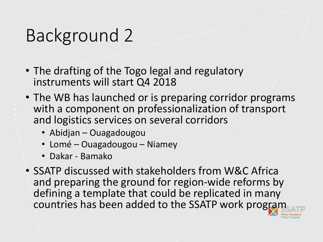### Background 2

- The drafting of the Togo legal and regulatory instruments will start Q4 2018
- The WB has launched or is preparing corridor programs with a component on professionalization of transport and logistics services on several corridors
	- Abidjan Ouagadougou
	- Lomé Ouagadougou Niamey
	- Dakar Bamako
- SSATP discussed with stakeholders from W&C Africa and preparing the ground for region-wide reforms by defining a template that could be replicated in many countries has been added to the SSATP work program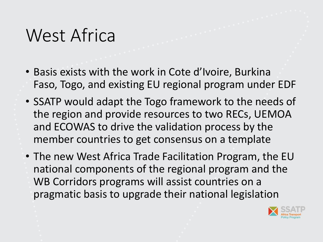#### West Africa

- Basis exists with the work in Cote d'Ivoire, Burkina Faso, Togo, and existing EU regional program under EDF
- SSATP would adapt the Togo framework to the needs of the region and provide resources to two RECs, UEMOA and ECOWAS to drive the validation process by the member countries to get consensus on a template
- The new West Africa Trade Facilitation Program, the EU national components of the regional program and the WB Corridors programs will assist countries on a pragmatic basis to upgrade their national legislation

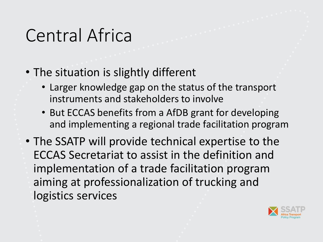## Central Africa

- The situation is slightly different
	- Larger knowledge gap on the status of the transport instruments and stakeholders to involve
	- But ECCAS benefits from a AfDB grant for developing and implementing a regional trade facilitation program
- The SSATP will provide technical expertise to the ECCAS Secretariat to assist in the definition and implementation of a trade facilitation program aiming at professionalization of trucking and logistics services